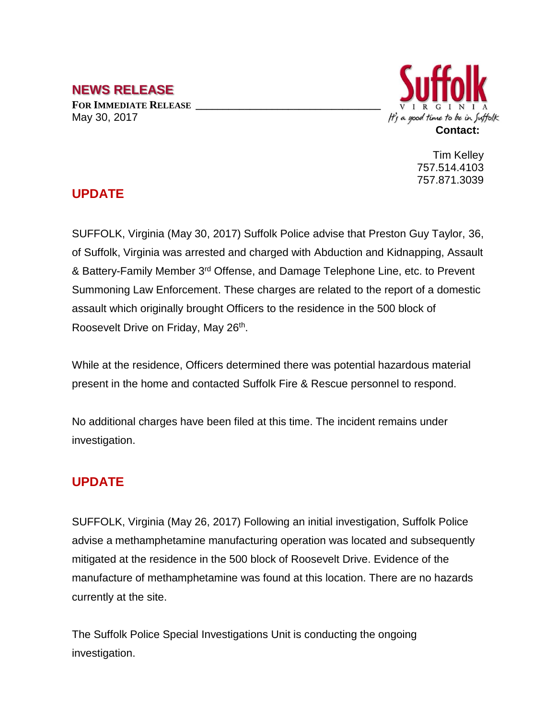#### **NEWS RELEASE**

**FOR IMMEDIATE RELEASE \_\_\_\_\_\_\_\_\_\_\_\_\_\_\_\_\_\_\_\_\_\_\_\_\_\_\_\_\_\_\_\_\_\_** May 30, 2017



Tim Kelley 757.514.4103 757.871.3039

### **UPDATE**

SUFFOLK, Virginia (May 30, 2017) Suffolk Police advise that Preston Guy Taylor, 36, of Suffolk, Virginia was arrested and charged with Abduction and Kidnapping, Assault & Battery-Family Member 3rd Offense, and Damage Telephone Line, etc. to Prevent Summoning Law Enforcement. These charges are related to the report of a domestic assault which originally brought Officers to the residence in the 500 block of Roosevelt Drive on Friday, May 26<sup>th</sup>.

While at the residence, Officers determined there was potential hazardous material present in the home and contacted Suffolk Fire & Rescue personnel to respond.

No additional charges have been filed at this time. The incident remains under investigation.

#### **UPDATE**

SUFFOLK, Virginia (May 26, 2017) Following an initial investigation, Suffolk Police advise a methamphetamine manufacturing operation was located and subsequently mitigated at the residence in the 500 block of Roosevelt Drive. Evidence of the manufacture of methamphetamine was found at this location. There are no hazards currently at the site.

The Suffolk Police Special Investigations Unit is conducting the ongoing investigation.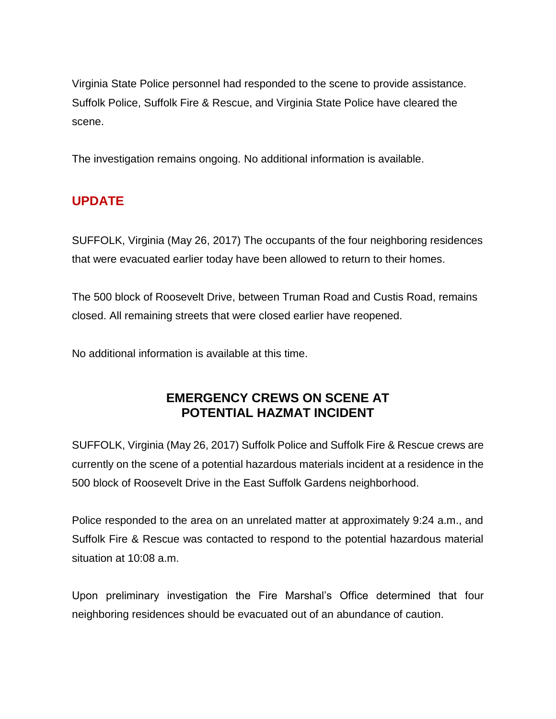Virginia State Police personnel had responded to the scene to provide assistance. Suffolk Police, Suffolk Fire & Rescue, and Virginia State Police have cleared the scene.

The investigation remains ongoing. No additional information is available.

# **UPDATE**

SUFFOLK, Virginia (May 26, 2017) The occupants of the four neighboring residences that were evacuated earlier today have been allowed to return to their homes.

The 500 block of Roosevelt Drive, between Truman Road and Custis Road, remains closed. All remaining streets that were closed earlier have reopened.

No additional information is available at this time.

## **EMERGENCY CREWS ON SCENE AT POTENTIAL HAZMAT INCIDENT**

SUFFOLK, Virginia (May 26, 2017) Suffolk Police and Suffolk Fire & Rescue crews are currently on the scene of a potential hazardous materials incident at a residence in the 500 block of Roosevelt Drive in the East Suffolk Gardens neighborhood.

Police responded to the area on an unrelated matter at approximately 9:24 a.m., and Suffolk Fire & Rescue was contacted to respond to the potential hazardous material situation at 10:08 a.m.

Upon preliminary investigation the Fire Marshal's Office determined that four neighboring residences should be evacuated out of an abundance of caution.